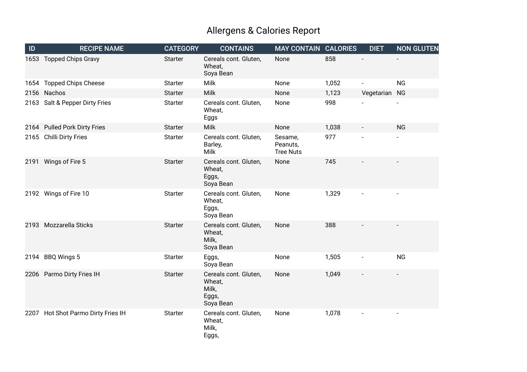## Allergens & Calories Report

| ID | <b>RECIPE NAME</b>                 | <b>CATEGORY</b> | <b>CONTAINS</b>                                                | <b>MAY CONTAIN CALORIES</b>             |       | <b>DIET</b>   | <b>NON GLUTEN</b>        |
|----|------------------------------------|-----------------|----------------------------------------------------------------|-----------------------------------------|-------|---------------|--------------------------|
|    | 1653 Topped Chips Gravy            | <b>Starter</b>  | Cereals cont. Gluten,<br>Wheat,<br>Soya Bean                   | None                                    | 858   |               |                          |
|    | 1654 Topped Chips Cheese           | <b>Starter</b>  | <b>Milk</b>                                                    | None                                    | 1,052 |               | <b>NG</b>                |
|    | 2156 Nachos                        | <b>Starter</b>  | <b>Milk</b>                                                    | None                                    | 1,123 | Vegetarian NG |                          |
|    | 2163 Salt & Pepper Dirty Fries     | <b>Starter</b>  | Cereals cont. Gluten,<br>Wheat,<br>Eggs                        | None                                    | 998   |               |                          |
|    | 2164 Pulled Pork Dirty Fries       | <b>Starter</b>  | <b>Milk</b>                                                    | None                                    | 1,038 |               | <b>NG</b>                |
|    | 2165 Chilli Dirty Fries            | <b>Starter</b>  | Cereals cont. Gluten,<br>Barley,<br><b>Milk</b>                | Sesame,<br>Peanuts,<br><b>Tree Nuts</b> | 977   |               |                          |
|    | 2191 Wings of Fire 5               | <b>Starter</b>  | Cereals cont. Gluten,<br>Wheat,<br>Eggs,<br>Soya Bean          | None                                    | 745   |               |                          |
|    | 2192 Wings of Fire 10              | <b>Starter</b>  | Cereals cont. Gluten,<br>Wheat,<br>Eggs,<br>Soya Bean          | None                                    | 1,329 |               |                          |
|    | 2193 Mozzarella Sticks             | <b>Starter</b>  | Cereals cont. Gluten,<br>Wheat,<br>Milk,<br>Soya Bean          | None                                    | 388   |               |                          |
|    | 2194 BBQ Wings 5                   | <b>Starter</b>  | Eggs,<br>Soya Bean                                             | None                                    | 1,505 |               | <b>NG</b>                |
|    | 2206 Parmo Dirty Fries IH          | <b>Starter</b>  | Cereals cont. Gluten,<br>Wheat,<br>Milk,<br>Eggs,<br>Soya Bean | None                                    | 1,049 |               |                          |
|    | 2207 Hot Shot Parmo Dirty Fries IH | <b>Starter</b>  | Cereals cont. Gluten,<br>Wheat,<br>Milk,<br>Eggs,              | None                                    | 1,078 |               | $\overline{\phantom{a}}$ |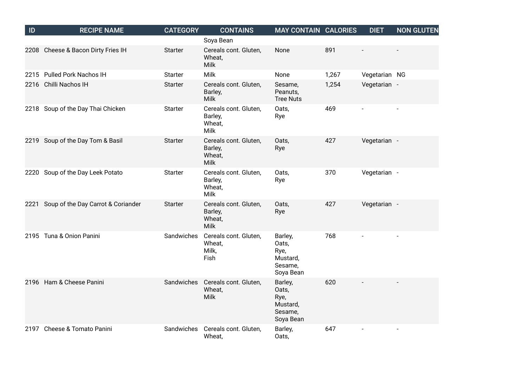| ID   | <b>RECIPE NAME</b>                 | <b>CATEGORY</b> | <b>CONTAINS</b>                                           | <b>MAY CONTAIN CALORIES</b>                                  |       | <b>DIET</b>   | <b>NON GLUTEN</b>        |
|------|------------------------------------|-----------------|-----------------------------------------------------------|--------------------------------------------------------------|-------|---------------|--------------------------|
|      |                                    |                 | Soya Bean                                                 |                                                              |       |               |                          |
|      | 2208 Cheese & Bacon Dirty Fries IH | <b>Starter</b>  | Cereals cont. Gluten,<br>Wheat,<br>Milk                   | None                                                         | 891   |               |                          |
|      | 2215 Pulled Pork Nachos IH         | <b>Starter</b>  | Milk                                                      | None                                                         | 1,267 | Vegetarian NG |                          |
|      | 2216 Chilli Nachos IH              | <b>Starter</b>  | Cereals cont. Gluten,<br>Barley,<br>Milk                  | Sesame,<br>Peanuts,<br><b>Tree Nuts</b>                      | 1,254 | Vegetarian -  |                          |
|      | 2218 Soup of the Day Thai Chicken  | <b>Starter</b>  | Cereals cont. Gluten,<br>Barley,<br>Wheat,<br>Milk        | Oats,<br>Rye                                                 | 469   |               |                          |
|      | 2219 Soup of the Day Tom & Basil   | <b>Starter</b>  | Cereals cont. Gluten,<br>Barley,<br>Wheat,<br><b>Milk</b> | Oats,<br>Rye                                                 | 427   | Vegetarian -  |                          |
|      | 2220 Soup of the Day Leek Potato   | <b>Starter</b>  | Cereals cont. Gluten,<br>Barley,<br>Wheat,<br>Milk        | Oats,<br>Rye                                                 | 370   | Vegetarian -  |                          |
| 2221 | Soup of the Day Carrot & Coriander | <b>Starter</b>  | Cereals cont. Gluten,<br>Barley,<br>Wheat,<br><b>Milk</b> | Oats,<br>Rye                                                 | 427   | Vegetarian -  |                          |
|      | 2195 Tuna & Onion Panini           | Sandwiches      | Cereals cont. Gluten,<br>Wheat,<br>Milk,<br>Fish          | Barley,<br>Oats,<br>Rye,<br>Mustard,<br>Sesame,<br>Soya Bean | 768   |               | $\overline{a}$           |
|      | 2196 Ham & Cheese Panini           | Sandwiches      | Cereals cont. Gluten,<br>Wheat,<br>Milk                   | Barley,<br>Oats,<br>Rye,<br>Mustard,<br>Sesame,<br>Soya Bean | 620   |               |                          |
|      | 2197 Cheese & Tomato Panini        | Sandwiches      | Cereals cont. Gluten,<br>Wheat,                           | Barley,<br>Oats,                                             | 647   |               | $\overline{\phantom{a}}$ |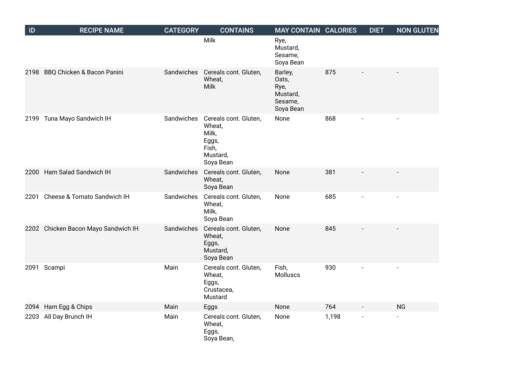| ID   | <b>RECIPE NAME</b>                  | <b>CATEGORY</b> | <b>CONTAINS</b>                                                                     | <b>MAY CONTAIN CALORIES</b>                                  |       | <b>DIET</b> | <b>NON GLUTEN</b> |
|------|-------------------------------------|-----------------|-------------------------------------------------------------------------------------|--------------------------------------------------------------|-------|-------------|-------------------|
|      |                                     |                 | Milk                                                                                | Rye,<br>Mustard,<br>Sesame,<br>Soya Bean                     |       |             |                   |
| 2198 | BBQ Chicken & Bacon Panini          | Sandwiches      | Cereals cont. Gluten,<br>Wheat,<br>Milk                                             | Barley,<br>Oats,<br>Rye,<br>Mustard,<br>Sesame,<br>Soya Bean | 875   |             |                   |
|      | 2199 Tuna Mayo Sandwich IH          | Sandwiches      | Cereals cont. Gluten,<br>Wheat,<br>Milk,<br>Eggs,<br>Fish,<br>Mustard,<br>Soya Bean | None                                                         | 868   |             |                   |
| 2200 | Ham Salad Sandwich IH               | Sandwiches      | Cereals cont. Gluten,<br>Wheat,<br>Soya Bean                                        | None                                                         | 381   |             |                   |
| 2201 | Cheese & Tomato Sandwich IH         | Sandwiches      | Cereals cont. Gluten,<br>Wheat,<br>Milk,<br>Soya Bean                               | None                                                         | 685   |             | $\overline{a}$    |
|      | 2202 Chicken Bacon Mayo Sandwich IH | Sandwiches      | Cereals cont. Gluten,<br>Wheat,<br>Eggs,<br>Mustard,<br>Soya Bean                   | None                                                         | 845   |             |                   |
| 2091 | Scampi                              | Main            | Cereals cont. Gluten,<br>Wheat,<br>Eggs,<br>Crustacea,<br>Mustard                   | Fish,<br>Molluscs                                            | 930   |             |                   |
| 2094 | Ham Egg & Chips                     | Main            | Eggs                                                                                | None                                                         | 764   |             | <b>NG</b>         |
| 2203 | All Day Brunch IH                   | Main            | Cereals cont. Gluten,<br>Wheat,<br>Eggs,<br>Soya Bean,                              | None                                                         | 1,198 |             |                   |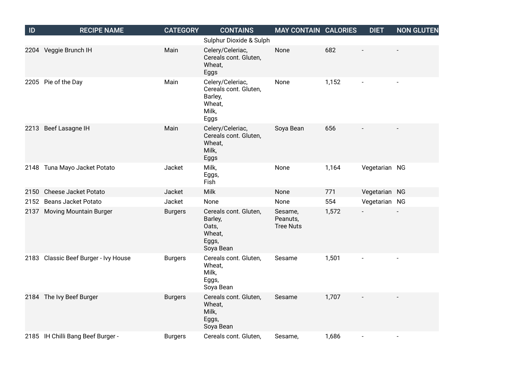| ID   | <b>RECIPE NAME</b>                   | <b>CATEGORY</b> | <b>CONTAINS</b>                                                                 | <b>MAY CONTAIN CALORIES</b>             |       | <b>DIET</b>   | <b>NON GLUTEN</b> |
|------|--------------------------------------|-----------------|---------------------------------------------------------------------------------|-----------------------------------------|-------|---------------|-------------------|
|      |                                      |                 | Sulphur Dioxide & Sulph                                                         |                                         |       |               |                   |
|      | 2204 Veggie Brunch IH                | Main            | Celery/Celeriac,<br>Cereals cont. Gluten,<br>Wheat,<br>Eggs                     | None                                    | 682   |               |                   |
|      | 2205 Pie of the Day                  | Main            | Celery/Celeriac,<br>Cereals cont. Gluten,<br>Barley,<br>Wheat,<br>Milk,<br>Eggs | None                                    | 1,152 |               |                   |
| 2213 | Beef Lasagne IH                      | Main            | Celery/Celeriac,<br>Cereals cont. Gluten,<br>Wheat,<br>Milk,<br>Eggs            | Soya Bean                               | 656   |               |                   |
|      | 2148 Tuna Mayo Jacket Potato         | Jacket          | Milk,<br>Eggs,<br>Fish                                                          | None                                    | 1,164 | Vegetarian NG |                   |
|      | 2150 Cheese Jacket Potato            | Jacket          | <b>Milk</b>                                                                     | None                                    | 771   | Vegetarian NG |                   |
| 2152 | <b>Beans Jacket Potato</b>           | Jacket          | None                                                                            | None                                    | 554   | Vegetarian NG |                   |
|      | 2137 Moving Mountain Burger          | <b>Burgers</b>  | Cereals cont. Gluten,<br>Barley,<br>Oats,<br>Wheat,<br>Eggs,<br>Soya Bean       | Sesame,<br>Peanuts,<br><b>Tree Nuts</b> | 1,572 |               |                   |
|      | 2183 Classic Beef Burger - Ivy House | <b>Burgers</b>  | Cereals cont. Gluten,<br>Wheat,<br>Milk,<br>Eggs,<br>Soya Bean                  | Sesame                                  | 1,501 |               |                   |
|      | 2184 The Ivy Beef Burger             | <b>Burgers</b>  | Cereals cont. Gluten,<br>Wheat,<br>Milk,<br>Eggs,<br>Soya Bean                  | Sesame                                  | 1,707 |               |                   |
|      | 2185 IH Chilli Bang Beef Burger -    | <b>Burgers</b>  | Cereals cont. Gluten,                                                           | Sesame,                                 | 1,686 |               |                   |